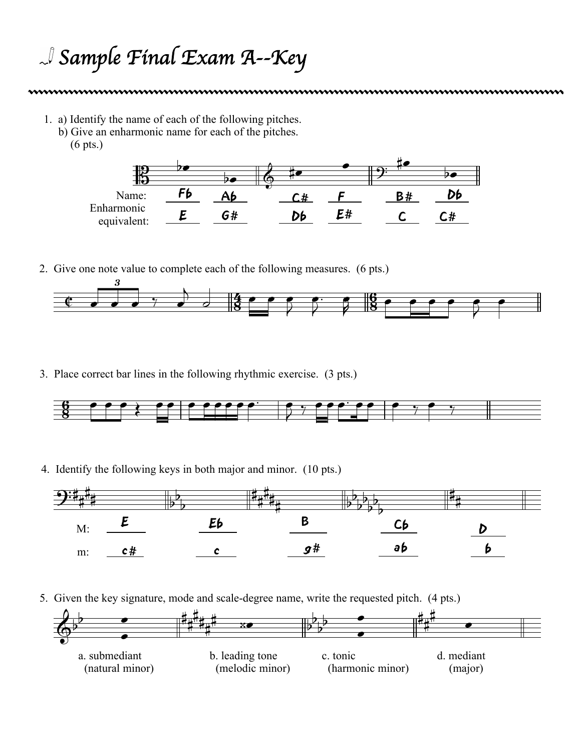## *Sample Final Exam A--Key*

- 1. a) Identify the name of each of the following pitches.
	- b) Give an enharmonic name for each of the pitches.
		- (6 pts.)



2. Give one note value to complete each of the following measures. (6 pts.)



3. Place correct bar lines in the following rhythmic exercise. (3 pts.)



4. Identify the following keys in both major and minor. (10 pts.)



5. Given the key signature, mode and scale-degree name, write the requested pitch. (4 pts.)

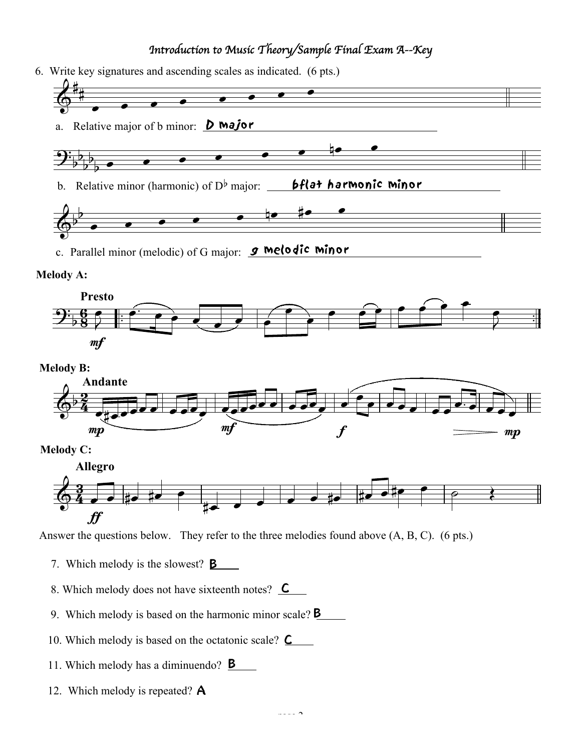## *Introduction to Music Theory/Sample Final Exam A--Key*

6. Write key signatures and ascending scales as indicated. (6 pts.)





mf



**Melody C:**



Answer the questions below. They refer to the three melodies found above (A, B, C). (6 pts.)

- 7. Which melody is the slowest?  $\mathbf{\underline{B}}$
- 8. Which melody does not have sixteenth notes?  $\mathcal{\mathcal{L}}$
- 9. Which melody is based on the harmonic minor scale?  $B$
- 10. Which melody is based on the octatonic scale?  $\mathbf{\subseteq}$
- 11. Which melody has a diminuendo? **B**
- 12. Which melody is repeated? A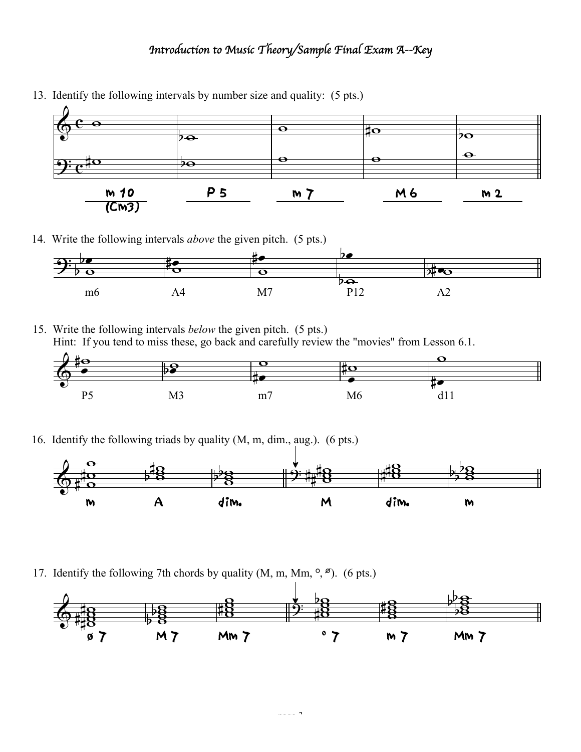## *Introduction to Music Theory/Sample Final Exam A--Key*



13. Identify the following intervals by number size and quality: (5 pts.)

14. Write the following intervals *above* the given pitch. (5 pts.)



15. Write the following intervals *below* the given pitch. (5 pts.) Hint: If you tend to miss these, go back and carefully review the "movies" from Lesson 6.1.



16. Identify the following triads by quality (M, m, dim., aug.). (6 pts.)



17. Identify the following 7th chords by quality  $(M, m, Mm, \degree, \degree)$ . (6 pts.)